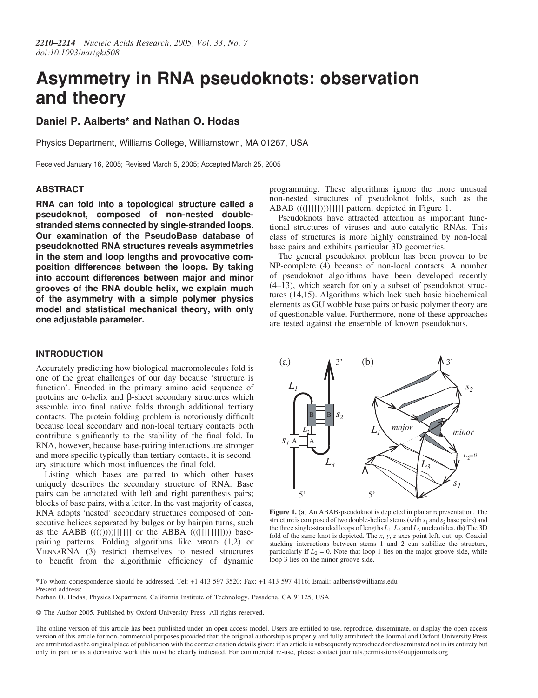# Asymmetry in RNA pseudoknots: observation and theory

## Daniel P. Aalberts\* and Nathan O. Hodas

Physics Department, Williams College, Williamstown, MA 01267, USA

Received January 16, 2005; Revised March 5, 2005; Accepted March 25, 2005

#### ABSTRACT

RNA can fold into a topological structure called a pseudoknot, composed of non-nested doublestranded stems connected by single-stranded loops. Our examination of the PseudoBase database of pseudoknotted RNA structures reveals asymmetries in the stem and loop lengths and provocative composition differences between the loops. By taking into account differences between major and minor grooves of the RNA double helix, we explain much of the asymmetry with a simple polymer physics model and statistical mechanical theory, with only one adjustable parameter.

### INTRODUCTION

Accurately predicting how biological macromolecules fold is one of the great challenges of our day because 'structure is function'. Encoded in the primary amino acid sequence of proteins are  $\alpha$ -helix and  $\beta$ -sheet secondary structures which assemble into final native folds through additional tertiary contacts. The protein folding problem is notoriously difficult because local secondary and non-local tertiary contacts both contribute significantly to the stability of the final fold. In RNA, however, because base-pairing interactions are stronger and more specific typically than tertiary contacts, it is secondary structure which most influences the final fold.

Listing which bases are paired to which other bases uniquely describes the secondary structure of RNA. Base pairs can be annotated with left and right parenthesis pairs; blocks of base pairs, with a letter. In the vast majority of cases, RNA adopts 'nested' secondary structures composed of consecutive helices separated by bulges or by hairpin turns, such as the AABB  $(((())\)$ [[[]]] or the ABBA  $((([[[[][]]]))$ ) basepairing patterns. Folding algorithms like MFOLD (1,2) or VIENNARNA (3) restrict themselves to nested structures to benefit from the algorithmic efficiency of dynamic

programming. These algorithms ignore the more unusual non-nested structures of pseudoknot folds, such as the ABAB ((([[[[[)))]]]]] pattern, depicted in Figure 1.

Pseudoknots have attracted attention as important functional structures of viruses and auto-catalytic RNAs. This class of structures is more highly constrained by non-local base pairs and exhibits particular 3D geometries.

The general pseudoknot problem has been proven to be NP-complete (4) because of non-local contacts. A number of pseudoknot algorithms have been developed recently (4–13), which search for only a subset of pseudoknot structures (14,15). Algorithms which lack such basic biochemical elements as GU wobble base pairs or basic polymer theory are of questionable value. Furthermore, none of these approaches are tested against the ensemble of known pseudoknots.



Figure 1. (a) An ABAB-pseudoknot is depicted in planar representation. The structure is composed of two double-helical stems (with  $s_1$  and  $s_2$  base pairs) and the three single-stranded loops of lengths  $L_1, L_2$  and  $L_3$  nucleotides. (b) The 3D fold of the same knot is depicted. The x, y, z axes point left, out, up. Coaxial stacking interactions between stems 1 and 2 can stabilize the structure, particularly if  $L_2 = 0$ . Note that loop 1 lies on the major groove side, while loop 3 lies on the minor groove side.

Nathan O. Hodas, Physics Department, California Institute of Technology, Pasadena, CA 91125, USA

© The Author 2005. Published by Oxford University Press. All rights reserved.

<sup>\*</sup>To whom correspondence should be addressed. Tel: +1 413 597 3520; Fax: +1 413 597 4116; Email: aalberts@williams.edu Present address:

The online version of this article has been published under an open access model. Users are entitled to use, reproduce, disseminate, or display the open access version of this article for non-commercial purposes provided that: the original authorship is properly and fully attributed; the Journal and Oxford University Press are attributed as the original place of publication with the correct citation details given; if an article is subsequently reproduced or disseminated not in its entirety but only in part or as a derivative work this must be clearly indicated. For commercial re-use, please contact journals.permissions@oupjournals.org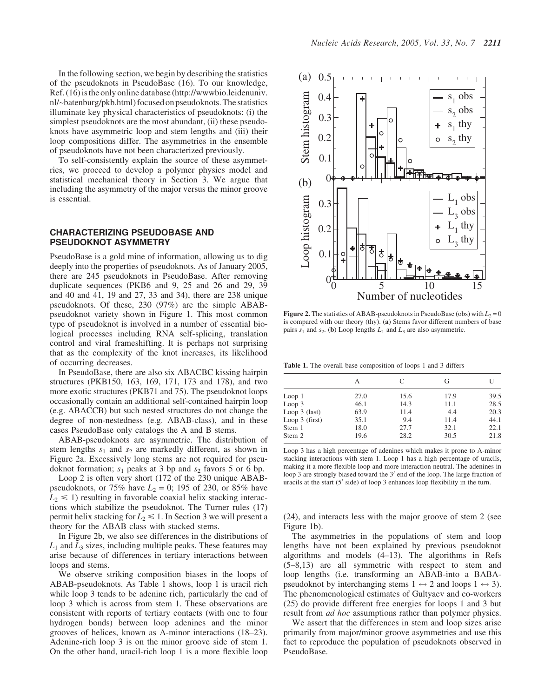In the following section, we begin by describing the statistics of the pseudoknots in PseudoBase (16). To our knowledge, Ref. (16) is the only online database [\(http://wwwbio.leidenuniv.](http://wwwbio.leidenuniv) nl/~batenburg/pkb.html) focused on pseudoknots. The statistics illuminate key physical characteristics of pseudoknots: (i) the simplest pseudoknots are the most abundant, (ii) these pseudoknots have asymmetric loop and stem lengths and (iii) their loop compositions differ. The asymmetries in the ensemble of pseudoknots have not been characterized previously.

To self-consistently explain the source of these asymmetries, we proceed to develop a polymer physics model and statistical mechanical theory in Section 3. We argue that including the asymmetry of the major versus the minor groove is essential.

#### CHARACTERIZING PSEUDOBASE AND PSEUDOKNOT ASYMMETRY

PseudoBase is a gold mine of information, allowing us to dig deeply into the properties of pseudoknots. As of January 2005, there are 245 pseudoknots in PseudoBase. After removing duplicate sequences (PKB6 and 9, 25 and 26 and 29, 39 and 40 and 41, 19 and 27, 33 and 34), there are 238 unique pseudoknots. Of these, 230 (97%) are the simple ABABpseudoknot variety shown in Figure 1. This most common type of pseudoknot is involved in a number of essential biological processes including RNA self-splicing, translation control and viral frameshifting. It is perhaps not surprising that as the complexity of the knot increases, its likelihood of occurring decreases.

In PseudoBase, there are also six ABACBC kissing hairpin structures (PKB150, 163, 169, 171, 173 and 178), and two more exotic structures (PKB71 and 75). The pseudoknot loops occasionally contain an additional self-contained hairpin loop (e.g. ABACCB) but such nested structures do not change the degree of non-nestedness (e.g. ABAB-class), and in these cases PseudoBase only catalogs the A and B stems.

ABAB-pseudoknots are asymmetric. The distribution of stem lengths  $s_1$  and  $s_2$  are markedly different, as shown in Figure 2a. Excessively long stems are not required for pseudoknot formation;  $s_1$  peaks at 3 bp and  $s_2$  favors 5 or 6 bp.

Loop 2 is often very short (172 of the 230 unique ABABpseudoknots, or 75% have  $L_2 = 0$ ; 195 of 230, or 85% have  $L_2 \le 1$ ) resulting in favorable coaxial helix stacking interactions which stabilize the pseudoknot. The Turner rules (17) permit helix stacking for  $\overline{L_2} \leq 1$ . In Section 3 we will present a theory for the ABAB class with stacked stems.

In Figure 2b, we also see differences in the distributions of  $L_1$  and  $L_3$  sizes, including multiple peaks. These features may arise because of differences in tertiary interactions between loops and stems.

We observe striking composition biases in the loops of ABAB-pseudoknots. As Table 1 shows, loop 1 is uracil rich while loop 3 tends to be adenine rich, particularly the end of loop 3 which is across from stem 1. These observations are consistent with reports of tertiary contacts (with one to four hydrogen bonds) between loop adenines and the minor grooves of helices, known as A-minor interactions (18–23). Adenine-rich loop 3 is on the minor groove side of stem 1. On the other hand, uracil-rich loop 1 is a more flexible loop



**Figure 2.** The statistics of ABAB-pseudoknots in PseudoBase (obs) with  $L_2 = 0$ is compared with our theory (thy). (a) Stems favor different numbers of base pairs  $s_1$  and  $s_2$ . (b) Loop lengths  $L_1$  and  $L_3$  are also asymmetric.

Table 1. The overall base composition of loops 1 and 3 differs

|                  | А    | $\subset$ | G    |      |
|------------------|------|-----------|------|------|
| Loop 1           | 27.0 | 15.6      | 17.9 | 39.5 |
| Loop 3           | 46.1 | 14.3      | 11.1 | 28.5 |
| Loop $3$ (last)  | 63.9 | 11.4      | 4.4  | 20.3 |
| Loop $3$ (first) | 35.1 | 9.4       | 11.4 | 44.1 |
| Stem 1           | 18.0 | 27.7      | 32.1 | 22.1 |
| Stem 2           | 19.6 | 28.2      | 30.5 | 21.8 |

Loop 3 has a high percentage of adenines which makes it prone to A-minor stacking interactions with stem 1. Loop 1 has a high percentage of uracils, making it a more flexible loop and more interaction neutral. The adenines in loop 3 are strongly biased toward the  $3'$  end of the loop. The large fraction of uracils at the start  $(5\prime \text{ side})$  of loop 3 enhances loop flexibility in the turn.

(24), and interacts less with the major groove of stem 2 (see Figure 1b).

The asymmetries in the populations of stem and loop lengths have not been explained by previous pseudoknot algorithms and models (4–13). The algorithms in Refs (5–8,13) are all symmetric with respect to stem and loop lengths (i.e. transforming an ABAB-into a BABApseudoknot by interchanging stems  $1 \leftrightarrow 2$  and loops  $1 \leftrightarrow 3$ ). The phenomenological estimates of Gultyaev and co-workers (25) do provide different free energies for loops 1 and 3 but result from *ad hoc* assumptions rather than polymer physics.

We assert that the differences in stem and loop sizes arise primarily from major/minor groove asymmetries and use this fact to reproduce the population of pseudoknots observed in PseudoBase.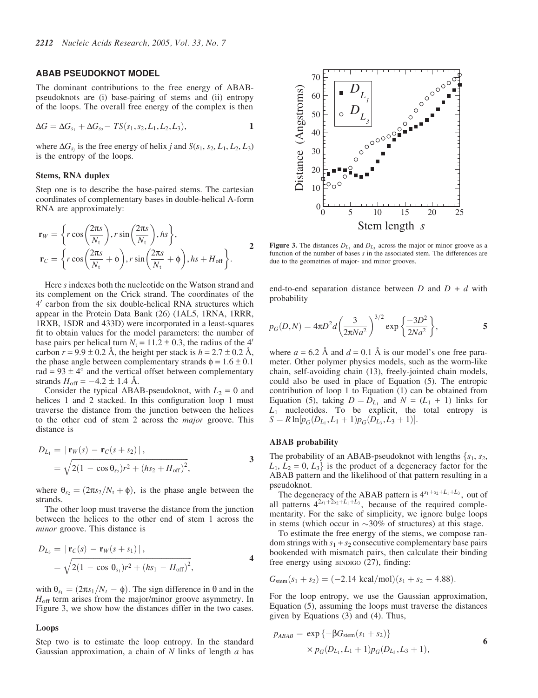#### ABAB PSEUDOKNOT MODEL

The dominant contributions to the free energy of ABABpseudoknots are (i) base-pairing of stems and (ii) entropy of the loops. The overall free energy of the complex is then

$$
\Delta G = \Delta G_{s_1} + \Delta G_{s_2} - TS(s_1, s_2, L_1, L_2, L_3),
$$

where  $\Delta G_{s_i}$  is the free energy of helix j and  $S(s_1, s_2, L_1, L_2, L_3)$ is the entropy of the loops.

#### Stems, RNA duplex

Step one is to describe the base-paired stems. The cartesian coordinates of complementary bases in double-helical A-form RNA are approximately:

$$
\mathbf{r}_{W} = \left\{ r \cos\left(\frac{2\pi s}{N_{\rm t}}\right), r \sin\left(\frac{2\pi s}{N_{\rm t}}\right), h s \right\},\
$$

$$
\mathbf{r}_{C} = \left\{ r \cos\left(\frac{2\pi s}{N_{\rm t}} + \phi\right), r \sin\left(\frac{2\pi s}{N_{\rm t}} + \phi\right), h s + H_{\rm off} \right\}.
$$

Here s indexes both the nucleotide on the Watson strand and its complement on the Crick strand. The coordinates of the  $4'$  carbon from the six double-helical RNA structures which appear in the Protein Data Bank (26) (1AL5, 1RNA, 1RRR, 1RXB, 1SDR and 433D) were incorporated in a least-squares fit to obtain values for the model parameters: the number of base pairs per helical turn  $N_t = 11.2 \pm 0.3$ , the radius of the 4' carbon  $r = 9.9 \pm 0.2$  Å, the height per stack is  $h = 2.7 \pm 0.2$  Å, the phase angle between complementary strands  $\phi = 1.6 \pm 0.1$ rad =  $93 \pm 4^{\circ}$  and the vertical offset between complementary strands  $H_{\text{off}} = -4.2 \pm 1.4$  Å.

Consider the typical ABAB-pseudoknot, with  $L_2 = 0$  and helices 1 and 2 stacked. In this configuration loop 1 must traverse the distance from the junction between the helices to the other end of stem 2 across the major groove. This distance is

$$
D_{L_1} = |\mathbf{r}_W(s) - \mathbf{r}_C(s + s_2)|,
$$
  
=  $\sqrt{2(1 - \cos \theta_{s_2})r^2 + (hs_2 + H_{off})^2},$  3

where  $\theta_{s_2}=(2\pi s_2/N_t + \phi)$ , is the phase angle between the strands.

The other loop must traverse the distance from the junction between the helices to the other end of stem 1 across the minor groove. This distance is

$$
D_{L_3} = |\mathbf{r}_C(s) - \mathbf{r}_W(s + s_1)|,
$$
  
=  $\sqrt{2(1 - \cos \theta_{s_1})r^2 + (hs_1 - H_{off})^2},$  4

with  $\theta_{s_1}=(2\pi s_1/N_t - \phi)$ . The sign difference in  $\theta$  and in the  $H_{\text{off}}$  term arises from the major/minor groove asymmetry. In Figure 3, we show how the distances differ in the two cases.

#### Loops

Step two is to estimate the loop entropy. In the standard Gaussian approximation, a chain of  $N$  links of length  $\alpha$  has



**Figure 3.** The distances  $D_{L_1}$  and  $D_{L_3}$  across the major or minor groove as a function of the number of bases s in the associated stem. The differences are due to the geometries of major- and minor grooves.

end-to-end separation distance between  $D$  and  $D + d$  with probability

$$
p_G(D, N) = 4\pi D^2 d \left(\frac{3}{2\pi N a^2}\right)^{3/2} \exp\left\{\frac{-3D^2}{2Na^2}\right\},
$$
 5

where  $a = 6.2$  Å and  $d = 0.1$  Å is our model's one free parameter. Other polymer physics models, such as the worm-like chain, self-avoiding chain (13), freely-jointed chain models, could also be used in place of Equation (5). The entropic contribution of loop 1 to Equation (1) can be obtained from Equation (5), taking  $D = D_{L_1}$  and  $N = (L_1 + 1)$  links for  $L_1$  nucleotides. To be explicit, the total entropy is  $S = R \ln[p_G(D_{L_1}, L_1 + 1)p_G(D_{L_3}, L_3 + 1)].$ 

#### ABAB probability

The probability of an ABAB-pseudoknot with lengths  $\{s_1, s_2,$  $L_1, L_2 = 0, L_3$  is the product of a degeneracy factor for the ABAB pattern and the likelihood of that pattern resulting in a pseudoknot.

The degeneracy of the ABAB pattern is  $4^{s_1+s_2+L_1+L_3}$ , out of all patterns  $4^{2s_1+2s_2+L_1+L_3}$ , because of the required complementarity. For the sake of simplicity, we ignore bulge loops in stems (which occur in  $\sim$ 30% of structures) at this stage.

To estimate the free energy of the stems, we compose random strings with  $s_1 + s_2$  consecutive complementary base pairs bookended with mismatch pairs, then calculate their binding free energy using BINDIGO (27), finding:

$$
G_{\text{stem}}(s_1 + s_2) = (-2.14 \text{ kcal/mol})(s_1 + s_2 - 4.88).
$$

For the loop entropy, we use the Gaussian approximation, Equation (5), assuming the loops must traverse the distances given by Equations (3) and (4). Thus,

$$
p_{ABAB} = \exp \{-\beta G_{\text{stem}}(s_1 + s_2)\}\
$$
  
 
$$
\times p_G(D_{L_1}, L_1 + 1)p_G(D_{L_3}, L_3 + 1),
$$
 6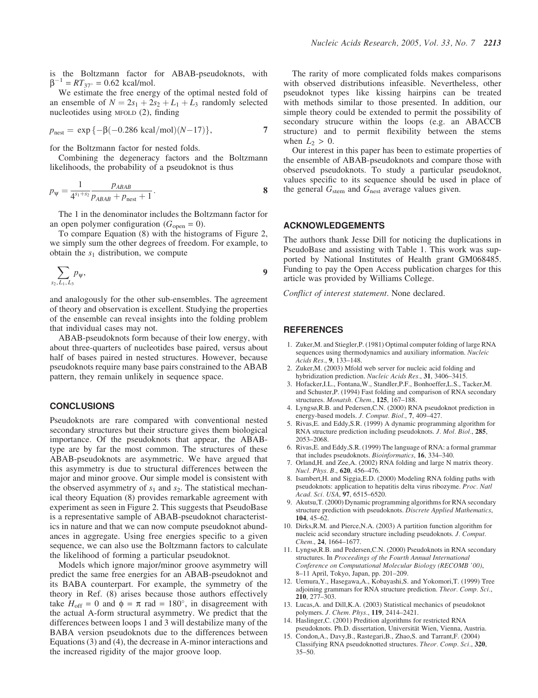is the Boltzmann factor for ABAB-pseudoknots, with  $\beta^{-1} = RT_{37^{\circ}} = 0.62$  kcal/mol.

We estimate the free energy of the optimal nested fold of an ensemble of  $N = 2s_1 + 2s_2 + L_1 + L_3$  randomly selected nucleotides using MFOLD (2), finding

$$
p_{\text{nest}} = \exp\{-\beta(-0.286 \text{ kcal/mol})(N-17)\},\tag{7}
$$

for the Boltzmann factor for nested folds.

Combining the degeneracy factors and the Boltzmann likelihoods, the probability of a pseudoknot is thus

$$
p_{\psi} = \frac{1}{4^{s_1+s_2}} \frac{p_{ABAB}}{p_{ABAB} + p_{\text{nest}} + 1}.
$$

The 1 in the denominator includes the Boltzmann factor for an open polymer configuration ( $G_{open} = 0$ ).

To compare Equation (8) with the histograms of Figure 2, we simply sum the other degrees of freedom. For example, to obtain the  $s_1$  distribution, we compute

$$
\sum_{s_2,L_1,L_3} p_{\psi},\qquad \qquad \qquad 9
$$

and analogously for the other sub-ensembles. The agreement of theory and observation is excellent. Studying the properties of the ensemble can reveal insights into the folding problem that individual cases may not.

ABAB-pseudoknots form because of their low energy, with about three-quarters of nucleotides base paired, versus about half of bases paired in nested structures. However, because pseudoknots require many base pairs constrained to the ABAB pattern, they remain unlikely in sequence space.

#### **CONCLUSIONS**

Pseudoknots are rare compared with conventional nested secondary structures but their structure gives them biological importance. Of the pseudoknots that appear, the ABABtype are by far the most common. The structures of these ABAB-pseudoknots are asymmetric. We have argued that this asymmetry is due to structural differences between the major and minor groove. Our simple model is consistent with the observed asymmetry of  $s_1$  and  $s_2$ . The statistical mechanical theory Equation (8) provides remarkable agreement with experiment as seen in Figure 2. This suggests that PseudoBase is a representative sample of ABAB-pseudoknot characteristics in nature and that we can now compute pseudoknot abundances in aggregate. Using free energies specific to a given sequence, we can also use the Boltzmann factors to calculate the likelihood of forming a particular pseudoknot.

Models which ignore major/minor groove asymmetry will predict the same free energies for an ABAB-pseudoknot and its BABA counterpart. For example, the symmetry of the theory in Ref. (8) arises because those authors effectively take  $H_{\text{off}} = 0$  and  $\phi = \pi$  rad = 180°, in disagreement with the actual A-form structural asymmetry. We predict that the differences between loops 1 and 3 will destabilize many of the BABA version pseudoknots due to the differences between Equations (3) and (4), the decrease in A-minor interactions and the increased rigidity of the major groove loop.

The rarity of more complicated folds makes comparisons with observed distributions infeasible. Nevertheless, other pseudoknot types like kissing hairpins can be treated with methods similar to those presented. In addition, our simple theory could be extended to permit the possibility of secondary strucure within the loops (e.g. an ABACCB structure) and to permit flexibility between the stems when  $L_2 > 0$ .

Our interest in this paper has been to estimate properties of the ensemble of ABAB-pseudoknots and compare those with observed pseudoknots. To study a particular pseudoknot, values specific to its sequence should be used in place of the general  $G<sub>stem</sub>$  and  $G<sub>nest</sub>$  average values given.

#### ACKNOWLEDGEMENTS

The authors thank Jesse Dill for noticing the duplications in PseudoBase and assisting with Table 1. This work was supported by National Institutes of Health grant GM068485. Funding to pay the Open Access publication charges for this article was provided by Williams College.

Conflict of interest statement. None declared.

#### **REFERENCES**

- 1. Zuker,M. and Stiegler,P. (1981) Optimal computer folding of large RNA sequences using thermodynamics and auxiliary information. Nucleic Acids Res., 9, 133–148.
- 2. Zuker,M. (2003) Mfold web server for nucleic acid folding and hybridization prediction. Nucleic Acids Res., 31, 3406–3415.
- 3. Hofacker,I.L., Fontana,W., Standler,P.F., Bonhoeffer,L.S., Tacker,M. and Schuster,P. (1994) Fast folding and comparison of RNA secondary structures. Monatsh. Chem., 125, 167-188.
- 4. Lyngsø,R.B. and Pedersen,C.N. (2000) RNA pseudoknot prediction in energy-based models. J. Comput. Biol., 7, 409–427.
- 5. Rivas,E. and Eddy,S.R. (1999) A dynamic programming algorithm for RNA structure prediction including pseudoknots. J. Mol. Biol., 285, 2053–2068.
- 6. Rivas,E. and Eddy,S.R. (1999) The language of RNA: a formal grammar that includes pseudoknots. Bioinformatics, 16, 334-340.
- 7. Orland,H. and Zee,A. (2002) RNA folding and large N matrix theory. Nucl. Phys. B., 620, 456-476.
- 8. Isambert,H. and Siggia,E.D. (2000) Modeling RNA folding paths with pseudoknots: application to hepatitis delta virus ribozyme. Proc. Natl Acad. Sci. USA, 97, 6515-6520.
- 9. Akutsu,T. (2000) Dynamic programming algorithms for RNA secondary structure prediction with pseudoknots. Discrete Applied Mathematics, 104, 45–62.
- 10. Dirks,R.M. and Pierce,N.A. (2003) A partition function algorithm for nucleic acid secondary structure including pseudoknots. J. Comput. Chem., 24, 1664–1677.
- 11. Lyngsø,R.B. and Pedersen,C.N. (2000) Pseudoknots in RNA secondary structures. In Proceedings of the Fourth Annual International Conference on Computational Molecular Biology (RECOMB '00), 8–11 April, Tokyo, Japan, pp. 201–209.
- 12. Uemura,Y., Hasegawa,A., Kobayashi,S. and Yokomori,T. (1999) Tree adjoining grammars for RNA structure prediction. Theor. Comp. Sci., 210, 277–303.
- 13. Lucas,A. and Dill,K.A. (2003) Statistical mechanics of pseudoknot polymers. J. Chem. Phys., 119, 2414–2421.
- 14. Haslinger,C. (2001) Predition algorithms for restricted RNA pseudoknots. Ph.D. dissertation, Universität Wien, Vienna, Austria.
- 15. Condon,A., Davy,B., Rastegari,B., Zhao,S. and Tarrant,F. (2004) Classifying RNA pseudoknotted structures. Theor. Comp. Sci., 320, 35–50.